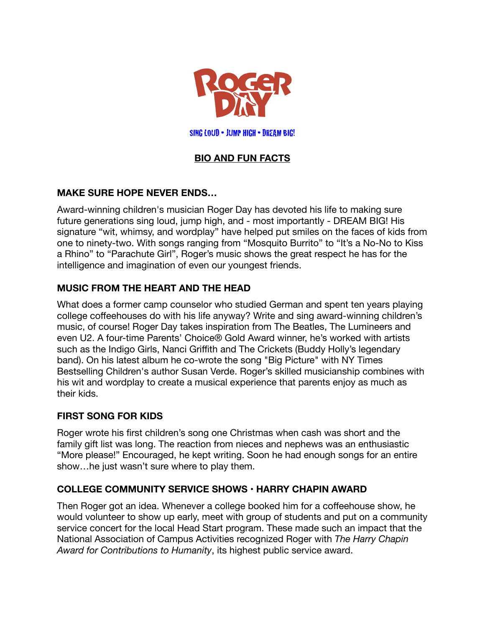

SING LOUD • JUMP HIGH • DREAM BIG!

# **BIO AND FUN FACTS**

# **MAKE SURE HOPE NEVER ENDS…**

Award-winning children's musician Roger Day has devoted his life to making sure future generations sing loud, jump high, and - most importantly - DREAM BIG! His signature "wit, whimsy, and wordplay" have helped put smiles on the faces of kids from one to ninety-two. With songs ranging from "Mosquito Burrito" to "It's a No-No to Kiss a Rhino" to "Parachute Girl", Roger's music shows the great respect he has for the intelligence and imagination of even our youngest friends.

# **MUSIC FROM THE HEART AND THE HEAD**

What does a former camp counselor who studied German and spent ten years playing college coffeehouses do with his life anyway? Write and sing award-winning children's music, of course! Roger Day takes inspiration from The Beatles, The Lumineers and even U2. A four-time Parents' Choice® Gold Award winner, he's worked with artists such as the Indigo Girls, Nanci Griffith and The Crickets (Buddy Holly's legendary band). On his latest album he co-wrote the song "Big Picture" with NY Times Bestselling Children's author Susan Verde. Roger's skilled musicianship combines with his wit and wordplay to create a musical experience that parents enjoy as much as their kids.

# **FIRST SONG FOR KIDS**

Roger wrote his first children's song one Christmas when cash was short and the family gift list was long. The reaction from nieces and nephews was an enthusiastic "More please!" Encouraged, he kept writing. Soon he had enough songs for an entire show…he just wasn't sure where to play them.

# **COLLEGE COMMUNITY SERVICE SHOWS • HARRY CHAPIN AWARD**

Then Roger got an idea. Whenever a college booked him for a coffeehouse show, he would volunteer to show up early, meet with group of students and put on a community service concert for the local Head Start program. These made such an impact that the National Association of Campus Activities recognized Roger with *The Harry Chapin Award for Contributions to Humanity*, its highest public service award.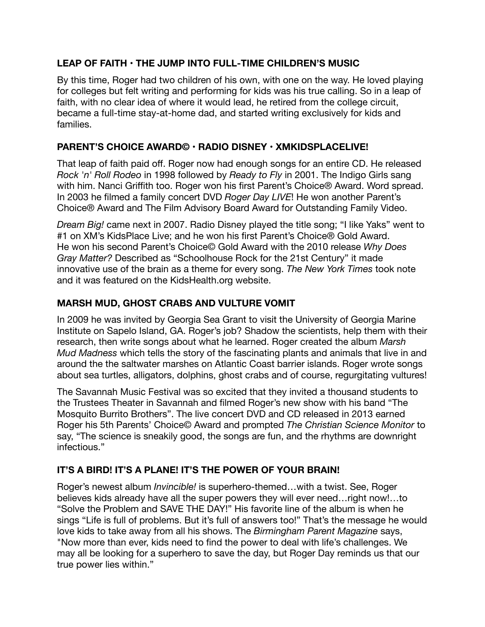# **LEAP OF FAITH • THE JUMP INTO FULL-TIME CHILDREN'S MUSIC**

By this time, Roger had two children of his own, with one on the way. He loved playing for colleges but felt writing and performing for kids was his true calling. So in a leap of faith, with no clear idea of where it would lead, he retired from the college circuit, became a full-time stay-at-home dad, and started writing exclusively for kids and families.

# **PARENT'S CHOICE AWARD© • RADIO DISNEY • XMKIDSPLACELIVE!**

That leap of faith paid off. Roger now had enough songs for an entire CD. He released *Rock 'n' Roll Rodeo* in 1998 followed by *Ready to Fly* in 2001. The Indigo Girls sang with him. Nanci Griffith too. Roger won his first Parent's Choice® Award. Word spread. In 2003 he filmed a family concert DVD *Roger Day LIVE*! He won another Parent's Choice® Award and The Film Advisory Board Award for Outstanding Family Video.

*Dream Big!* came next in 2007. Radio Disney played the title song; "I like Yaks" went to #1 on XM's KidsPlace Live; and he won his first Parent's Choice® Gold Award. He won his second Parent's Choice© Gold Award with the 2010 release *Why Does Gray Matter?* Described as "Schoolhouse Rock for the 21st Century" it made innovative use of the brain as a theme for every song. *The New York Times* took note and it was featured on the KidsHealth.org website.

# **MARSH MUD, GHOST CRABS AND VULTURE VOMIT**

In 2009 he was invited by Georgia Sea Grant to visit the University of Georgia Marine Institute on Sapelo Island, GA. Roger's job? Shadow the scientists, help them with their research, then write songs about what he learned. Roger created the album *Marsh Mud Madness* which tells the story of the fascinating plants and animals that live in and around the the saltwater marshes on Atlantic Coast barrier islands. Roger wrote songs about sea turtles, alligators, dolphins, ghost crabs and of course, regurgitating vultures!

The Savannah Music Festival was so excited that they invited a thousand students to the Trustees Theater in Savannah and filmed Roger's new show with his band "The Mosquito Burrito Brothers". The live concert DVD and CD released in 2013 earned Roger his 5th Parents' Choice© Award and prompted *The Christian Science Monitor* to say, "The science is sneakily good, the songs are fun, and the rhythms are downright infectious."

# **IT'S A BIRD! IT'S A PLANE! IT'S THE POWER OF YOUR BRAIN!**

Roger's newest album *Invincible!* is superhero-themed…with a twist. See, Roger believes kids already have all the super powers they will ever need…right now!…to "Solve the Problem and SAVE THE DAY!" His favorite line of the album is when he sings "Life is full of problems. But it's full of answers too!" That's the message he would love kids to take away from all his shows. The *Birmingham Parent Magazine* says, "Now more than ever, kids need to find the power to deal with life's challenges. We may all be looking for a superhero to save the day, but Roger Day reminds us that our true power lies within."